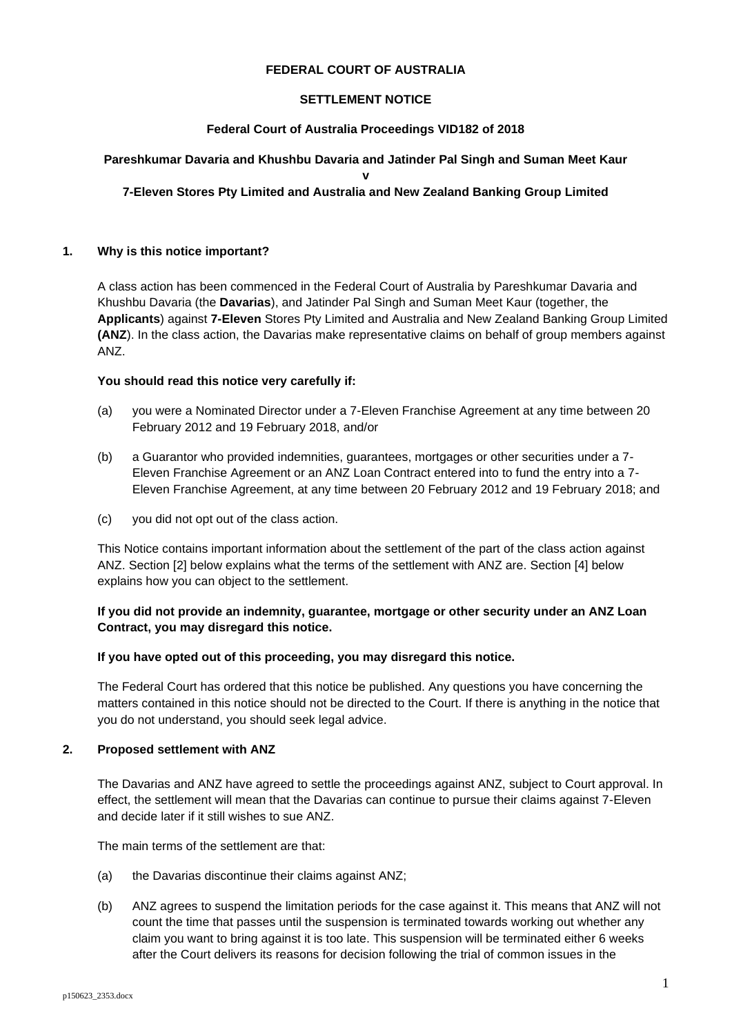### **FEDERAL COURT OF AUSTRALIA**

### **SETTLEMENT NOTICE**

#### **Federal Court of Australia Proceedings VID182 of 2018**

## **Pareshkumar Davaria and Khushbu Davaria and Jatinder Pal Singh and Suman Meet Kaur**

**v** 

## **7-Eleven Stores Pty Limited and Australia and New Zealand Banking Group Limited**

### **1. Why is this notice important?**

A class action has been commenced in the Federal Court of Australia by Pareshkumar Davaria and Khushbu Davaria (the **Davarias**), and Jatinder Pal Singh and Suman Meet Kaur (together, the **Applicants**) against **7-Eleven** Stores Pty Limited and Australia and New Zealand Banking Group Limited **(ANZ**). In the class action, the Davarias make representative claims on behalf of group members against ANZ.

### **You should read this notice very carefully if:**

- (a) you were a Nominated Director under a 7-Eleven Franchise Agreement at any time between 20 February 2012 and 19 February 2018, and/or
- (b) a Guarantor who provided indemnities, guarantees, mortgages or other securities under a 7- Eleven Franchise Agreement or an ANZ Loan Contract entered into to fund the entry into a 7- Eleven Franchise Agreement, at any time between 20 February 2012 and 19 February 2018; and
- (c) you did not opt out of the class action.

This Notice contains important information about the settlement of the part of the class action against ANZ. Section [2] below explains what the terms of the settlement with ANZ are. Section [4] below explains how you can object to the settlement.

## **If you did not provide an indemnity, guarantee, mortgage or other security under an ANZ Loan Contract, you may disregard this notice.**

#### **If you have opted out of this proceeding, you may disregard this notice.**

The Federal Court has ordered that this notice be published. Any questions you have concerning the matters contained in this notice should not be directed to the Court. If there is anything in the notice that you do not understand, you should seek legal advice.

## **2. Proposed settlement with ANZ**

The Davarias and ANZ have agreed to settle the proceedings against ANZ, subject to Court approval. In effect, the settlement will mean that the Davarias can continue to pursue their claims against 7-Eleven and decide later if it still wishes to sue ANZ.

The main terms of the settlement are that:

- (a) the Davarias discontinue their claims against ANZ;
- (b) ANZ agrees to suspend the limitation periods for the case against it. This means that ANZ will not count the time that passes until the suspension is terminated towards working out whether any claim you want to bring against it is too late. This suspension will be terminated either 6 weeks after the Court delivers its reasons for decision following the trial of common issues in the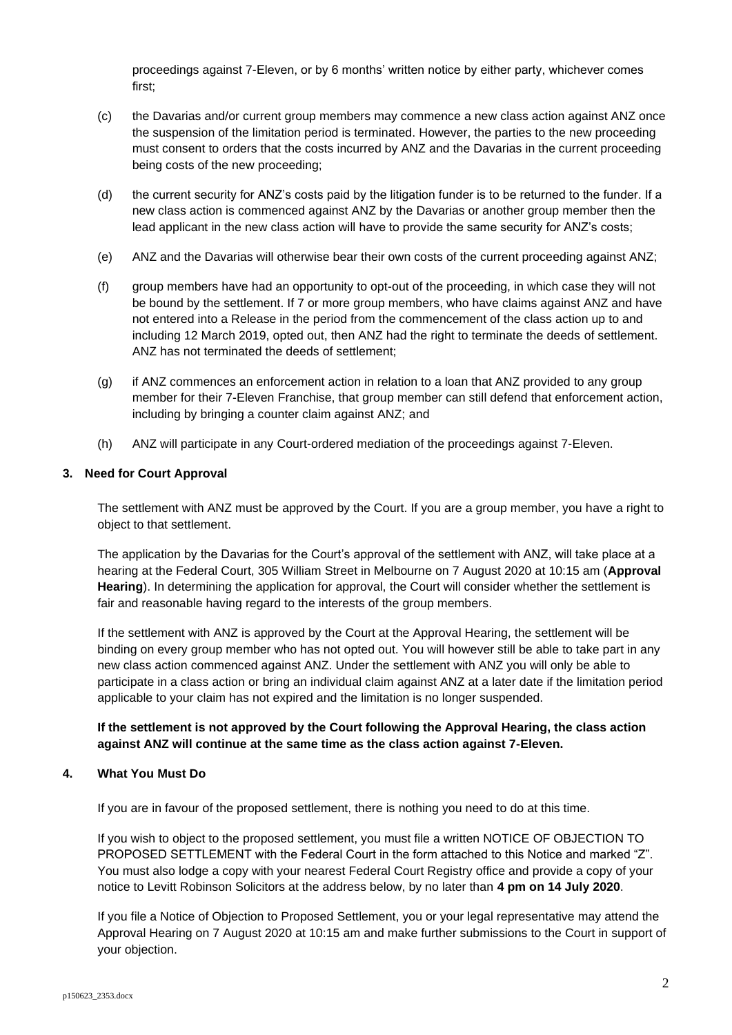proceedings against 7-Eleven, or by 6 months' written notice by either party, whichever comes first;

- (c) the Davarias and/or current group members may commence a new class action against ANZ once the suspension of the limitation period is terminated. However, the parties to the new proceeding must consent to orders that the costs incurred by ANZ and the Davarias in the current proceeding being costs of the new proceeding;
- (d) the current security for ANZ's costs paid by the litigation funder is to be returned to the funder. If a new class action is commenced against ANZ by the Davarias or another group member then the lead applicant in the new class action will have to provide the same security for ANZ's costs;
- (e) ANZ and the Davarias will otherwise bear their own costs of the current proceeding against ANZ;
- (f) group members have had an opportunity to opt-out of the proceeding, in which case they will not be bound by the settlement. If 7 or more group members, who have claims against ANZ and have not entered into a Release in the period from the commencement of the class action up to and including 12 March 2019, opted out, then ANZ had the right to terminate the deeds of settlement. ANZ has not terminated the deeds of settlement;
- (g) if ANZ commences an enforcement action in relation to a loan that ANZ provided to any group member for their 7-Eleven Franchise, that group member can still defend that enforcement action, including by bringing a counter claim against ANZ; and
- (h) ANZ will participate in any Court-ordered mediation of the proceedings against 7-Eleven.

### **3. Need for Court Approval**

The settlement with ANZ must be approved by the Court. If you are a group member, you have a right to object to that settlement.

The application by the Davarias for the Court's approval of the settlement with ANZ, will take place at a hearing at the Federal Court, 305 William Street in Melbourne on 7 August 2020 at 10:15 am (**Approval Hearing**). In determining the application for approval, the Court will consider whether the settlement is fair and reasonable having regard to the interests of the group members.

If the settlement with ANZ is approved by the Court at the Approval Hearing, the settlement will be binding on every group member who has not opted out. You will however still be able to take part in any new class action commenced against ANZ. Under the settlement with ANZ you will only be able to participate in a class action or bring an individual claim against ANZ at a later date if the limitation period applicable to your claim has not expired and the limitation is no longer suspended.

## **If the settlement is not approved by the Court following the Approval Hearing, the class action against ANZ will continue at the same time as the class action against 7-Eleven.**

#### **4. What You Must Do**

If you are in favour of the proposed settlement, there is nothing you need to do at this time.

If you wish to object to the proposed settlement, you must file a written NOTICE OF OBJECTION TO PROPOSED SETTLEMENT with the Federal Court in the form attached to this Notice and marked "Z". You must also lodge a copy with your nearest Federal Court Registry office and provide a copy of your notice to Levitt Robinson Solicitors at the address below, by no later than **4 pm on 14 July 2020**.

If you file a Notice of Objection to Proposed Settlement, you or your legal representative may attend the Approval Hearing on 7 August 2020 at 10:15 am and make further submissions to the Court in support of your objection.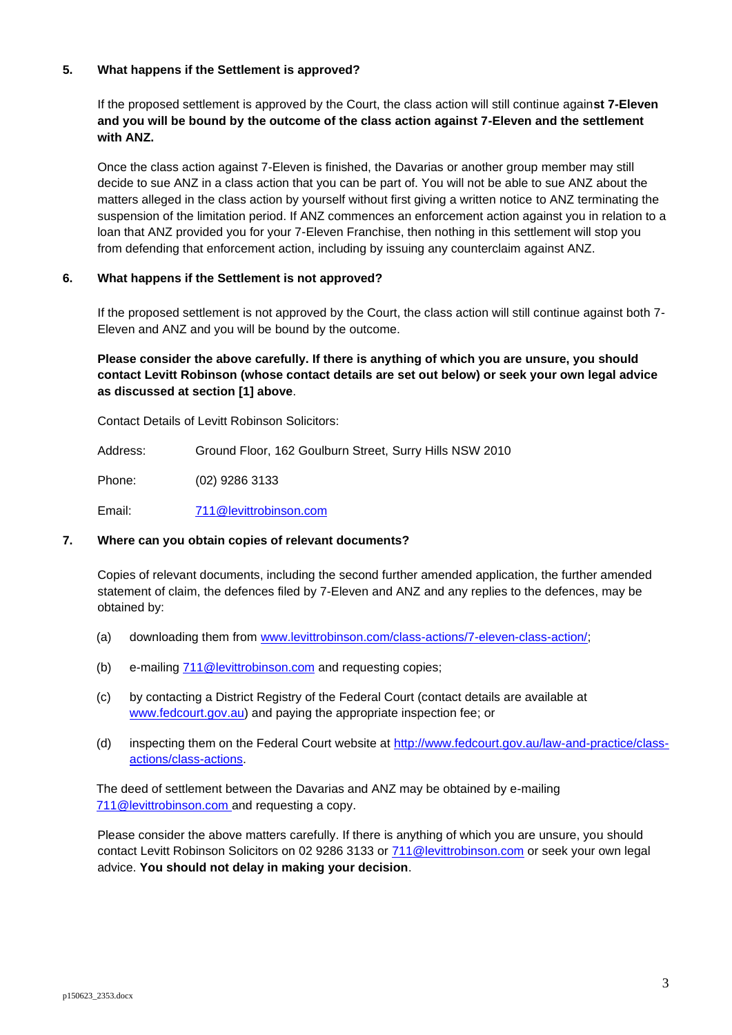## **5. What happens if the Settlement is approved?**

If the proposed settlement is approved by the Court, the class action will still continue again**st 7-Eleven and you will be bound by the outcome of the class action against 7-Eleven and the settlement with ANZ.** 

Once the class action against 7-Eleven is finished, the Davarias or another group member may still decide to sue ANZ in a class action that you can be part of. You will not be able to sue ANZ about the matters alleged in the class action by yourself without first giving a written notice to ANZ terminating the suspension of the limitation period. If ANZ commences an enforcement action against you in relation to a loan that ANZ provided you for your 7-Eleven Franchise, then nothing in this settlement will stop you from defending that enforcement action, including by issuing any counterclaim against ANZ.

# **6. What happens if the Settlement is not approved?**

If the proposed settlement is not approved by the Court, the class action will still continue against both 7- Eleven and ANZ and you will be bound by the outcome.

**Please consider the above carefully. If there is anything of which you are unsure, you should contact Levitt Robinson (whose contact details are set out below) or seek your own legal advice as discussed at section [1] above**.

Contact Details of Levitt Robinson Solicitors:

Address: Ground Floor, 162 Goulburn Street, Surry Hills NSW 2010

Phone: (02) 9286 3133

Email: [711@levittrobinson.com](mailto:711@levittrobinson.com)

## **7. Where can you obtain copies of relevant documents?**

Copies of relevant documents, including the second further amended application, the further amended statement of claim, the defences filed by 7-Eleven and ANZ and any replies to the defences, may be obtained by:

- (a) downloading them from [www.levittrobinson.com/class-actions/7-eleven-class-action/;](http://www.levittrobinson.com/class-actions/7-eleven-class-action/)
- (b) e-mailing [711@levittrobinson.com](mailto:711@levittrobinson.com) and requesting copies;
- (c) by contacting a District Registry of the Federal Court (contact details are available at [www.fedcourt.gov.au\)](http://www.fedcourt.gov.au/) and paying the appropriate inspection fee; or
- (d) inspecting them on the Federal Court website at [http://www.fedcourt.gov.au/law-and-practice/class](http://www.fedcourt.gov.au/law-and-practice/class-actions/class-actions)[actions/class-actions.](http://www.fedcourt.gov.au/law-and-practice/class-actions/class-actions)

The deed of settlement between the Davarias and ANZ may be obtained by e-mailing [711@levittrobinson.com](mailto:711@levittrobinson.com) and requesting a copy.

Please consider the above matters carefully. If there is anything of which you are unsure, you should contact Levitt Robinson Solicitors on 02 9286 3133 or [711@levittrobinson.com](mailto:711@levittrobinson.com) or seek your own legal advice. **You should not delay in making your decision**.